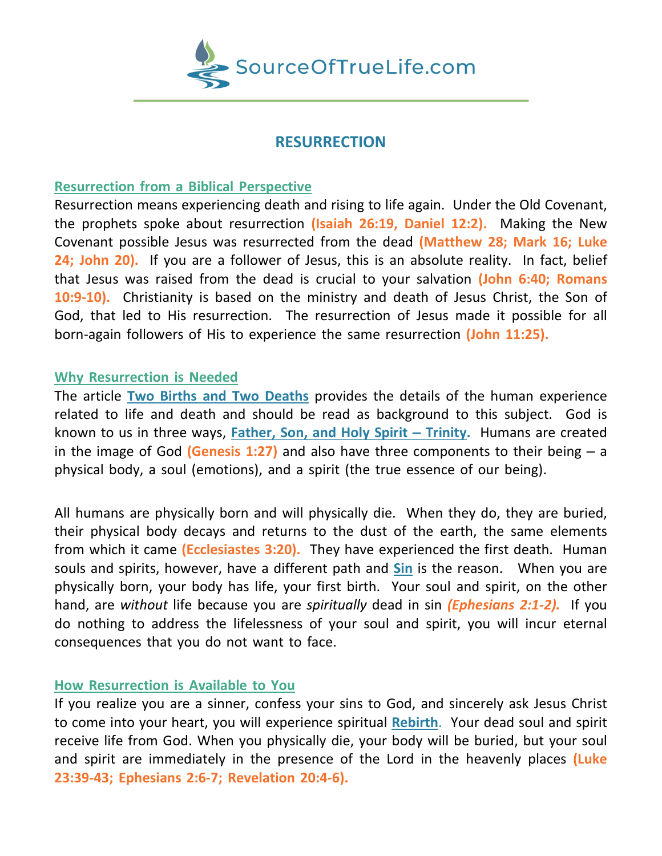

# **RESURRECTION**

## **Resurrection from a Biblical Perspective**

Resurrection means experiencing death and rising to life again. Under the Old Covenant, the prophets spoke about resurrection **(Isaiah 26:19, Daniel 12:2).** Making the New Covenant possible Jesus was resurrected from the dead **(Matthew 28; Mark 16; Luke 24; John 20).** If you are a follower of Jesus, this is an absolute reality. In fact, belief that Jesus was raised from the dead is crucial to your salvation **(John 6:40; Romans 10:9-10).** Christianity is based on the ministry and death of Jesus Christ, the Son of God, that led to His resurrection. The resurrection of Jesus made it possible for all born-again followers of His to experience the same resurrection **(John 11:25).**

### **Why Resurrection is Needed**

The article **Two Births and Two Deaths** provides the details of the human experience related to life and death and should be read as background to this subject. God is known to us in three ways, **Father, Son, and Holy Spirit – Trinity.** Humans are created in the image of God **(Genesis 1:27)** and also have three components to their being – a physical body, a soul (emotions), and a spirit (the true essence of our being).

All humans are physically born and will physically die. When they do, they are buried, their physical body decays and returns to the dust of the earth, the same elements from which it came **(Ecclesiastes 3:20).** They have experienced the first death. Human souls and spirits, however, have a different path and **Sin** is the reason. When you are physically born, your body has life, your first birth. Your soul and spirit, on the other hand, are *without* life because you are *spiritually* dead in sin *(Ephesians 2:1-2).* If you do nothing to address the lifelessness of your soul and spirit, you will incur eternal consequences that you do not want to face.

## **How Resurrection is Available to You**

If you realize you are a sinner, confess your sins to God, and sincerely ask Jesus Christ to come into your heart, you will experience spiritual **Rebirth**. Your dead soul and spirit receive life from God. When you physically die, your body will be buried, but your soul and spirit are immediately in the presence of the Lord in the heavenly places **(Luke 23:39-43; Ephesians 2:6-7; Revelation 20:4-6).**